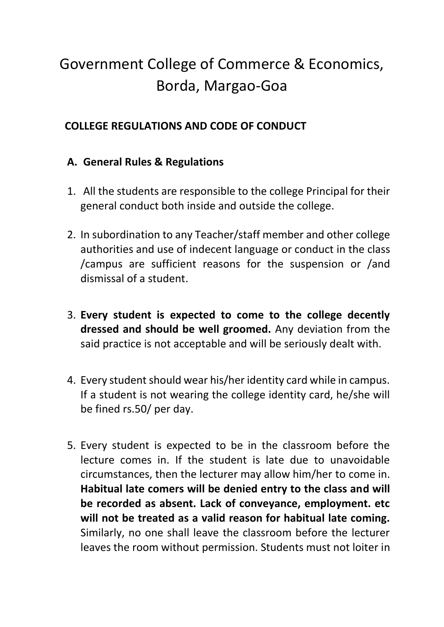## Government College of Commerce & Economics, Borda, Margao-Goa

## **COLLEGE REGULATIONS AND CODE OF CONDUCT**

## **A. General Rules & Regulations**

- 1. All the students are responsible to the college Principal for their general conduct both inside and outside the college.
- 2. In subordination to any Teacher/staff member and other college authorities and use of indecent language or conduct in the class /campus are sufficient reasons for the suspension or /and dismissal of a student.
- 3. **Every student is expected to come to the college decently dressed and should be well groomed.** Any deviation from the said practice is not acceptable and will be seriously dealt with.
- 4. Every student should wear his/her identity card while in campus. If a student is not wearing the college identity card, he/she will be fined rs.50/ per day.
- 5. Every student is expected to be in the classroom before the lecture comes in. If the student is late due to unavoidable circumstances, then the lecturer may allow him/her to come in. **Habitual late comers will be denied entry to the class and will be recorded as absent. Lack of conveyance, employment. etc will not be treated as a valid reason for habitual late coming.** Similarly, no one shall leave the classroom before the lecturer leaves the room without permission. Students must not loiter in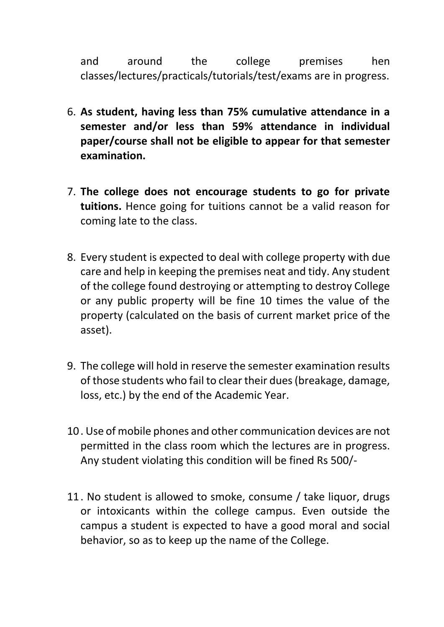and around the college premises hen classes/lectures/practicals/tutorials/test/exams are in progress.

- 6. **As student, having less than 75% cumulative attendance in a semester and/or less than 59% attendance in individual paper/course shall not be eligible to appear for that semester examination.**
- 7. **The college does not encourage students to go for private tuitions.** Hence going for tuitions cannot be a valid reason for coming late to the class.
- 8. Every student is expected to deal with college property with due care and help in keeping the premises neat and tidy. Any student of the college found destroying or attempting to destroy College or any public property will be fine 10 times the value of the property (calculated on the basis of current market price of the asset).
- 9. The college will hold in reserve the semester examination results of those students who fail to clear their dues (breakage, damage, loss, etc.) by the end of the Academic Year.
- 10. Use of mobile phones and other communication devices are not permitted in the class room which the lectures are in progress. Any student violating this condition will be fined Rs 500/-
- 11. No student is allowed to smoke, consume / take liquor, drugs or intoxicants within the college campus. Even outside the campus a student is expected to have a good moral and social behavior, so as to keep up the name of the College.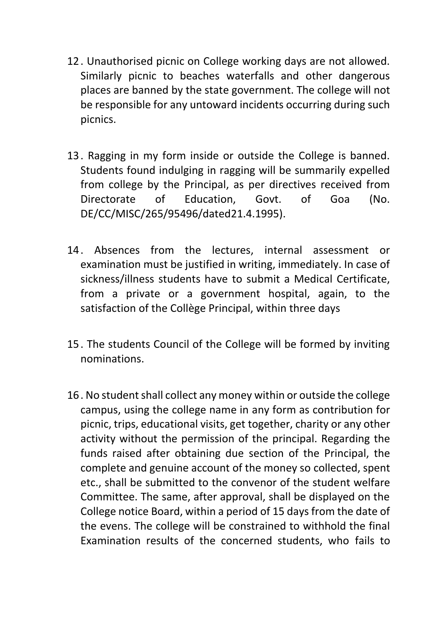- 12. Unauthorised picnic on College working days are not allowed. Similarly picnic to beaches waterfalls and other dangerous places are banned by the state government. The college will not be responsible for any untoward incidents occurring during such picnics.
- 13. Ragging in my form inside or outside the College is banned. Students found indulging in ragging will be summarily expelled from college by the Principal, as per directives received from Directorate of Education, Govt. of Goa (No. DE/CC/MISC/265/95496/dated21.4.1995).
- 14. Absences from the lectures, internal assessment or examination must be justified in writing, immediately. In case of sickness/illness students have to submit a Medical Certificate, from a private or a government hospital, again, to the satisfaction of the Collège Principal, within three days
- 15. The students Council of the College will be formed by inviting nominations.
- 16. No student shall collect any money within or outside the college campus, using the college name in any form as contribution for picnic, trips, educational visits, get together, charity or any other activity without the permission of the principal. Regarding the funds raised after obtaining due section of the Principal, the complete and genuine account of the money so collected, spent etc., shall be submitted to the convenor of the student welfare Committee. The same, after approval, shall be displayed on the College notice Board, within a period of 15 days from the date of the evens. The college will be constrained to withhold the final Examination results of the concerned students, who fails to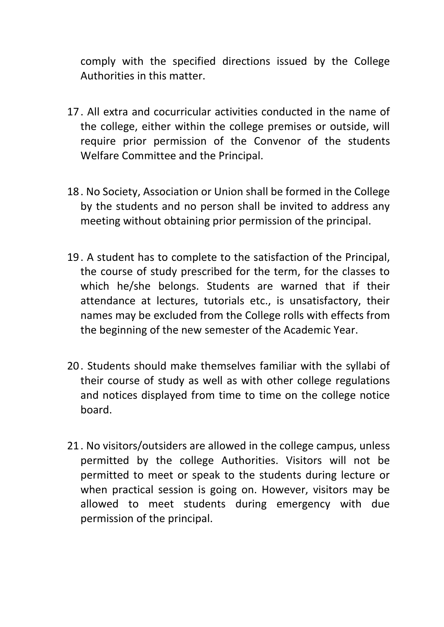comply with the specified directions issued by the College Authorities in this matter.

- 17. All extra and cocurricular activities conducted in the name of the college, either within the college premises or outside, will require prior permission of the Convenor of the students Welfare Committee and the Principal.
- 18. No Society, Association or Union shall be formed in the College by the students and no person shall be invited to address any meeting without obtaining prior permission of the principal.
- 19. A student has to complete to the satisfaction of the Principal, the course of study prescribed for the term, for the classes to which he/she belongs. Students are warned that if their attendance at lectures, tutorials etc., is unsatisfactory, their names may be excluded from the College rolls with effects from the beginning of the new semester of the Academic Year.
- 20. Students should make themselves familiar with the syllabi of their course of study as well as with other college regulations and notices displayed from time to time on the college notice board.
- 21. No visitors/outsiders are allowed in the college campus, unless permitted by the college Authorities. Visitors will not be permitted to meet or speak to the students during lecture or when practical session is going on. However, visitors may be allowed to meet students during emergency with due permission of the principal.